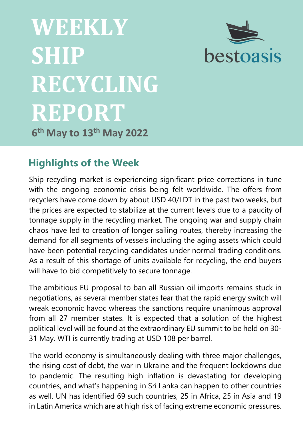



**6 th May to 13th May 2022**

# **Highlights of the Week**

Ship recycling market is experiencing significant price corrections in tune with the ongoing economic crisis being felt worldwide. The offers from recyclers have come down by about USD 40/LDT in the past two weeks, but the prices are expected to stabilize at the current levels due to a paucity of tonnage supply in the recycling market. The ongoing war and supply chain chaos have led to creation of longer sailing routes, thereby increasing the demand for all segments of vessels including the aging assets which could have been potential recycling candidates under normal trading conditions. As a result of this shortage of units available for recycling, the end buyers will have to bid competitively to secure tonnage.

The ambitious EU proposal to ban all Russian oil imports remains stuck in negotiations, as several member states fear that the rapid energy switch will wreak economic havoc whereas the sanctions require unanimous approval from all 27 member states. It is expected that a solution of the highest political level will be found at the extraordinary EU summit to be held on 30- 31 May. WTI is currently trading at USD 108 per barrel.

The world economy is simultaneously dealing with three major challenges, the rising cost of debt, the war in Ukraine and the frequent lockdowns due to pandemic. The resulting high inflation is devastating for developing countries, and what's happening in Sri Lanka can happen to other countries as well. UN has identified 69 such countries, 25 in Africa, 25 in Asia and 19 in Latin America which are at high risk of facing extreme economic pressures.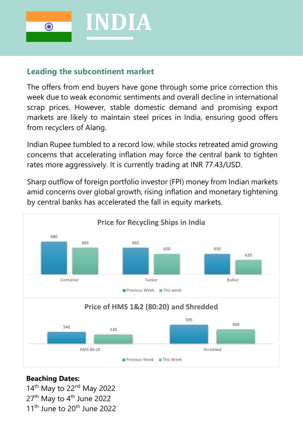

### **Leading the subcontinent market**

The offers from end buyers have gone through some price correction this week due to weak economic sentiments and overall decline in international scrap prices. However, stable domestic demand and promising export markets are likely to maintain steel prices in India, ensuring good offers from recyclers of Alang.

Indian Rupee tumbled to a record low, while stocks retreated amid growing concerns that accelerating inflation may force the central bank to tighten rates more aggressively. It is currently trading at INR 77.43/USD.

Sharp outflow of foreign portfolio investor (FPI) money from Indian markets amid concerns over global growth, rising [inflation](https://indianexpress.com/article/explained/everyday-explainers/what-are-wholesale-price-index-consumer-price-index-inflation-rates-7820831/) and monetary tightening by central banks has accelerated the fall in equity markets.



### **Beaching Dates:**

14<sup>th</sup> May to 22<sup>nd</sup> May 2022 27<sup>th</sup> May to 4<sup>th</sup> June 2022 11<sup>th</sup> June to 20<sup>th</sup> June 2022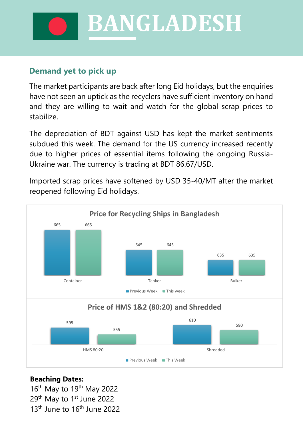**BANGLADESH**

### **Demand yet to pick up**

The market participants are back after long Eid holidays, but the enquiries have not seen an uptick as the recyclers have sufficient inventory on hand and they are willing to wait and watch for the global scrap prices to stabilize.

The depreciation of BDT against USD has kept the market sentiments subdued this week. The demand for the US currency increased recently due to higher prices of essential items following the ongoing Russia-Ukraine war. The currency is trading at BDT 86.67/USD.

Imported scrap prices have softened by USD 35-40/MT after the market reopened following Eid holidays.



### **Beaching Dates:**

16<sup>th</sup> May to 19<sup>th</sup> May 2022 29<sup>th</sup> May to 1<sup>st</sup> June 2022  $13<sup>th</sup>$  June to  $16<sup>th</sup>$  June 2022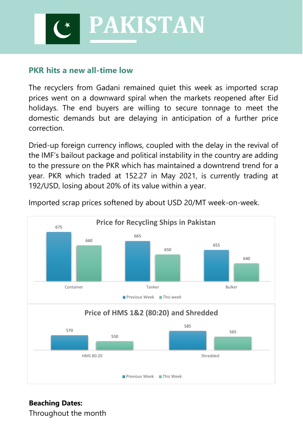**PAKISTAN**

### **PKR hits a new all-time low**

The recyclers from Gadani remained quiet this week as imported scrap prices went on a downward spiral when the markets reopened after Eid holidays. The end buyers are willing to secure tonnage to meet the domestic demands but are delaying in anticipation of a further price correction.

Dried-up foreign currency inflows, coupled with the delay in the revival of the IMF's bailout package and political instability in the country are adding to the pressure on the PKR which has maintained a downtrend trend for a year. PKR which traded at 152.27 in May 2021, is currently trading at 192/USD, losing about 20% of its value within a year.



Imported scrap prices softened by about USD 20/MT week-on-week.

#### **Beaching Dates:** Throughout the month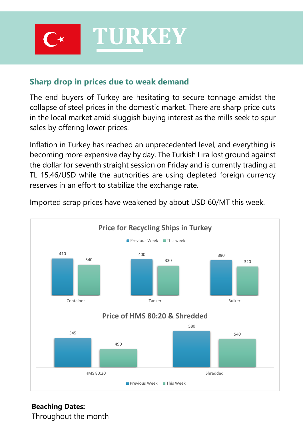

### **Sharp drop in prices due to weak demand**

The end buyers of Turkey are hesitating to secure tonnage amidst the collapse of steel prices in the domestic market. There are sharp price cuts in the local market amid sluggish buying interest as the mills seek to spur sales by offering lower prices.

Inflation in Turkey has reached an unprecedented level, and everything is becoming more expensive day by day. The Turkish Lira lost ground against the dollar for seventh straight session on Friday and is currently trading at TL 15.46/USD while the authorities are using depleted foreign currency reserves in an effort to stabilize the exchange rate.



Imported scrap prices have weakened by about USD 60/MT this week.

# **Beaching Dates:**

Throughout the month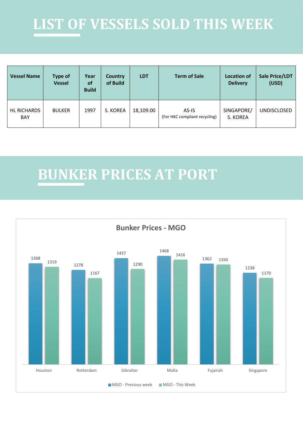# **LIST OF VESSELS SOLD THIS WEEK**

| <b>Vessel Name</b>        | <b>Type of</b><br><b>Vessel</b> | Year<br>of<br><b>Build</b> | <b>Country</b><br>of Build | <b>LDT</b> | <b>Term of Sale</b>                    | <b>Location of</b><br><b>Delivery</b> | Sale Price/LDT<br>(USD) |
|---------------------------|---------------------------------|----------------------------|----------------------------|------------|----------------------------------------|---------------------------------------|-------------------------|
| HL RICHARDS<br><b>BAY</b> | <b>BULKER</b>                   | 1997                       | S. KOREA                   | 18,109.00  | AS-IS<br>(For HKC compliant recycling) | SINGAPORE/<br>S. KOREA                | <b>UNDISCLOSED</b>      |

# **BUNKER PRICES AT PORT**